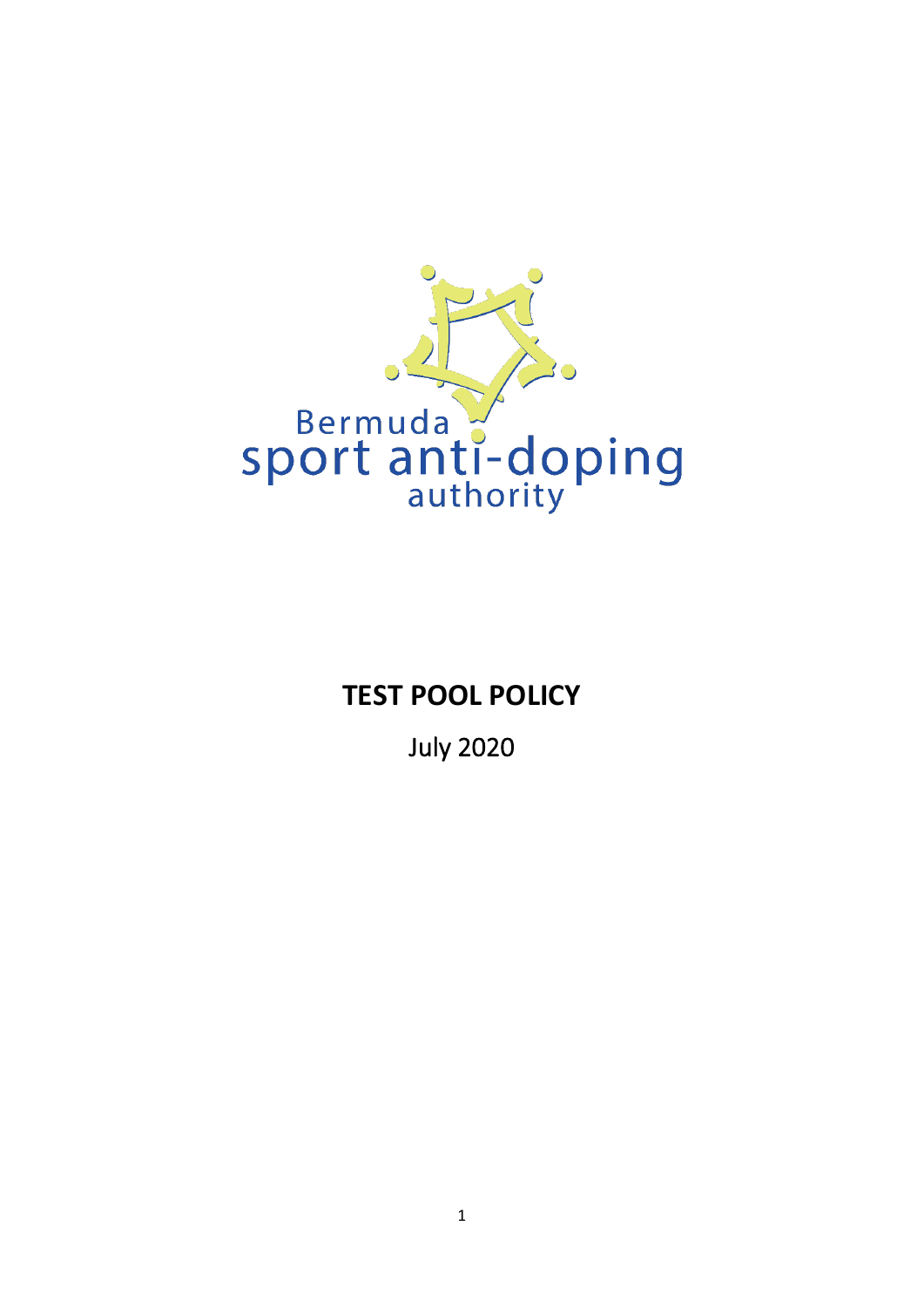

# **TEST POOL POLICY**

July 2020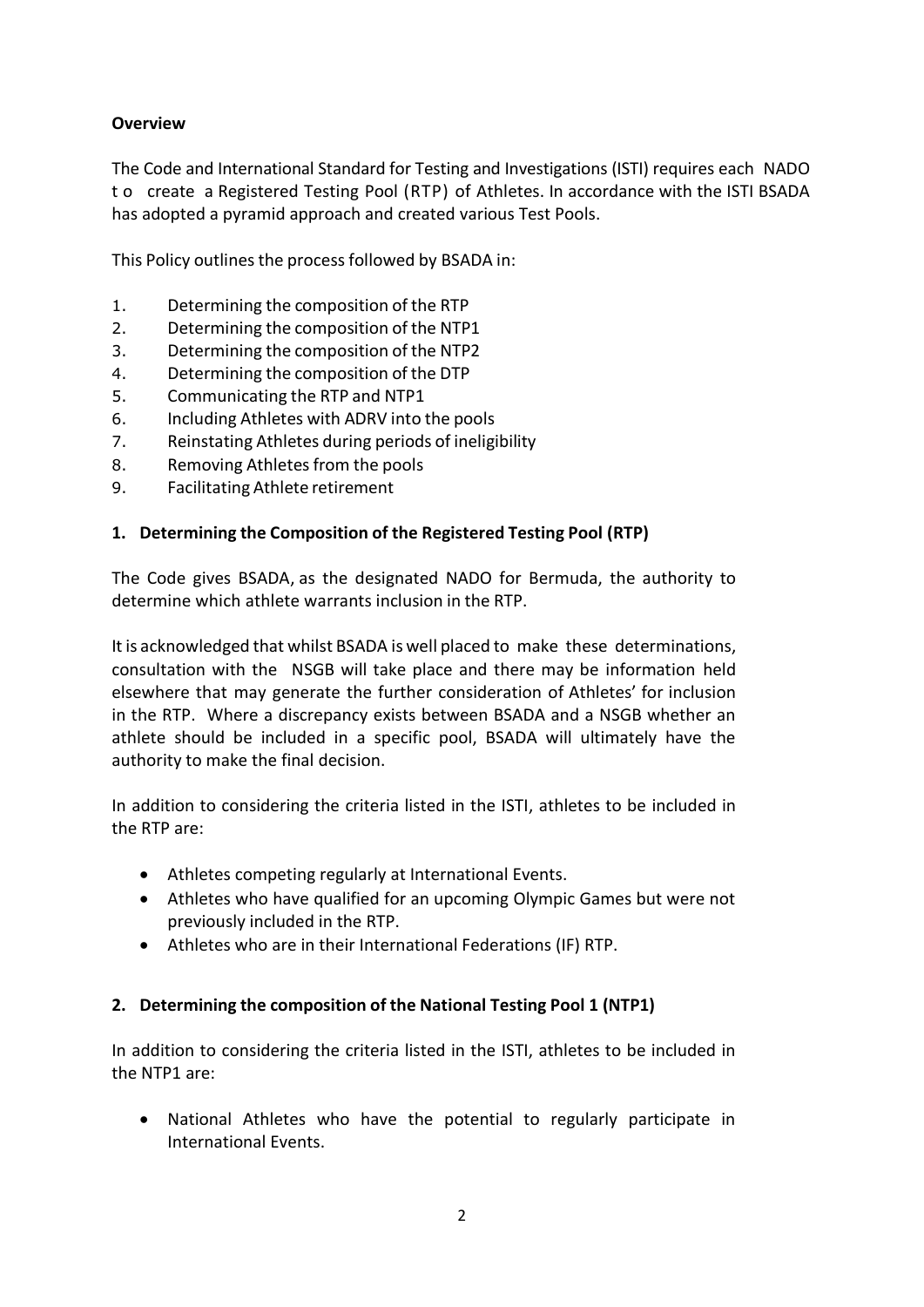# **Overview**

The Code and International Standard for Testing and Investigations (ISTI) requires each NADO t o create a Registered Testing Pool (RTP) of Athletes. In accordance with the ISTI BSADA has adopted a pyramid approach and created various Test Pools.

This Policy outlines the process followed by BSADA in:

- 1. Determining the composition of the RTP
- 2. Determining the composition of the NTP1
- 3. Determining the composition of the NTP2
- 4. Determining the composition of the DTP
- 5. Communicating the RTP and NTP1
- 6. Including Athletes with ADRV into the pools
- 7. Reinstating Athletes during periods of ineligibility
- 8. Removing Athletes from the pools
- 9. Facilitating Athlete retirement

# **1. Determining the Composition of the Registered Testing Pool (RTP)**

The Code gives BSADA, as the designated NADO for Bermuda, the authority to determine which athlete warrants inclusion in the RTP.

It is acknowledged that whilst BSADA is well placed to make these determinations, consultation with the NSGB will take place and there may be information held elsewhere that may generate the further consideration of Athletes' for inclusion in the RTP. Where a discrepancy exists between BSADA and a NSGB whether an athlete should be included in a specific pool, BSADA will ultimately have the authority to make the final decision.

In addition to considering the criteria listed in the ISTI, athletes to be included in the RTP are:

- Athletes competing regularly at International Events.
- Athletes who have qualified for an upcoming Olympic Games but were not previously included in the RTP.
- Athletes who are in their International Federations (IF) RTP.

# **2. Determining the composition of the National Testing Pool 1 (NTP1)**

In addition to considering the criteria listed in the ISTI, athletes to be included in the NTP1 are:

• National Athletes who have the potential to regularly participate in International Events.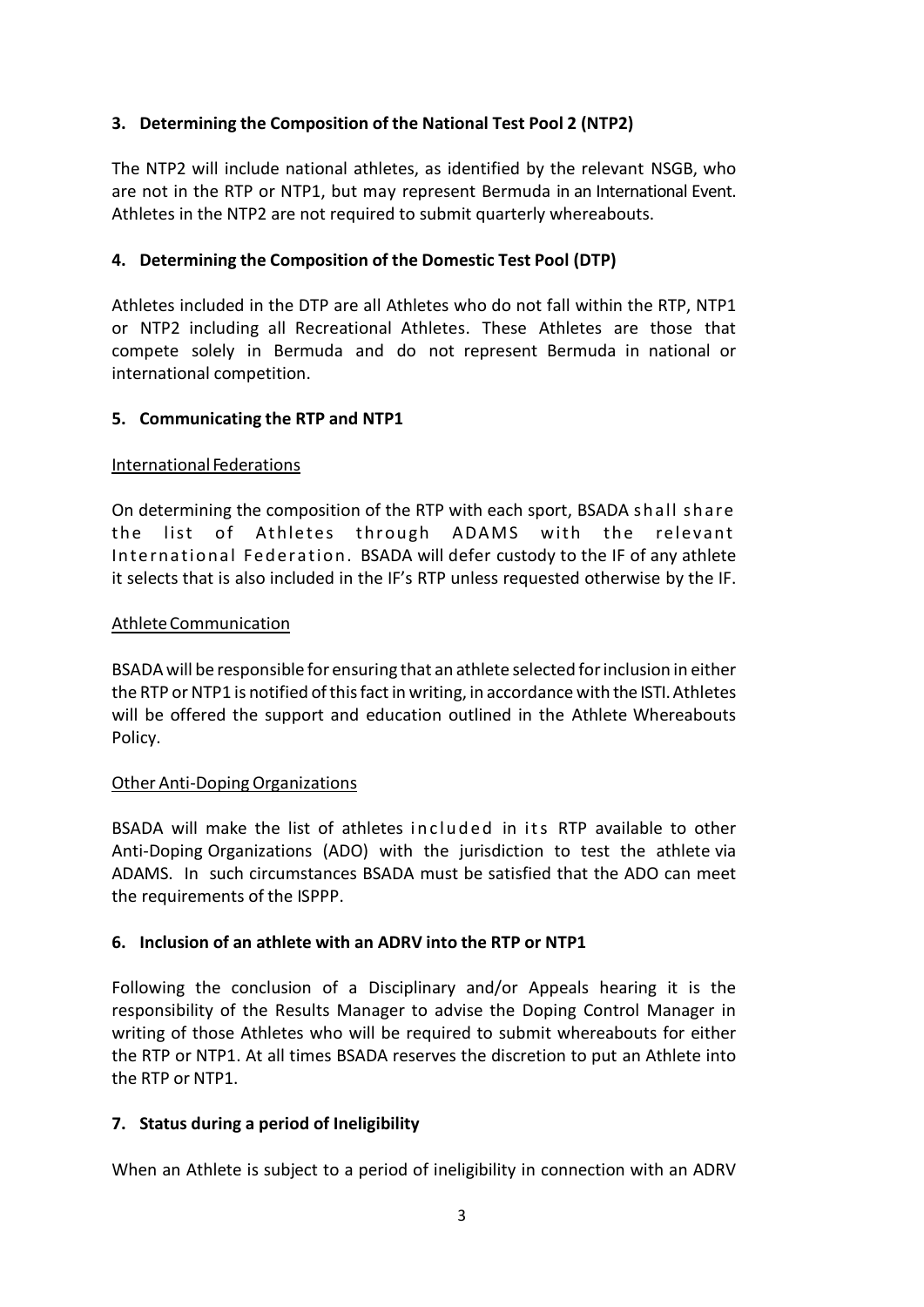# **3. Determining the Composition of the National Test Pool 2 (NTP2)**

The NTP2 will include national athletes, as identified by the relevant NSGB, who are not in the RTP or NTP1, but may represent Bermuda in an International Event. Athletes in the NTP2 are not required to submit quarterly whereabouts.

## **4. Determining the Composition of the Domestic Test Pool (DTP)**

Athletes included in the DTP are all Athletes who do not fall within the RTP, NTP1 or NTP2 including all Recreational Athletes. These Athletes are those that compete solely in Bermuda and do not represent Bermuda in national or international competition.

## **5. Communicating the RTP and NTP1**

#### International Federations

On determining the composition of the RTP with each sport, BSADA shall share the list of Athletes through ADAMS with the relevant International Federation. BSADA will defer custody to the IF of any athlete it selects that is also included in the IF's RTP unless requested otherwise by the IF.

#### AthleteCommunication

BSADA will be responsible for ensuring that an athlete selected forinclusion in either the RTP or NTP1 is notified of this fact in writing, in accordance with the ISTI. Athletes will be offered the support and education outlined in the Athlete Whereabouts Policy.

#### Other Anti-DopingOrganizations

BSADA will make the list of athletes included in its RTP available to other Anti-Doping Organizations (ADO) with the jurisdiction to test the athlete via ADAMS. In such circumstances BSADA must be satisfied that the ADO can meet the requirements of the ISPPP.

#### **6. Inclusion of an athlete with an ADRV into the RTP or NTP1**

Following the conclusion of a Disciplinary and/or Appeals hearing it is the responsibility of the Results Manager to advise the Doping Control Manager in writing of those Athletes who will be required to submit whereabouts for either the RTP or NTP1. At all times BSADA reserves the discretion to put an Athlete into the RTP or NTP1.

#### **7. Status during a period of Ineligibility**

When an Athlete is subject to a period of ineligibility in connection with an ADRV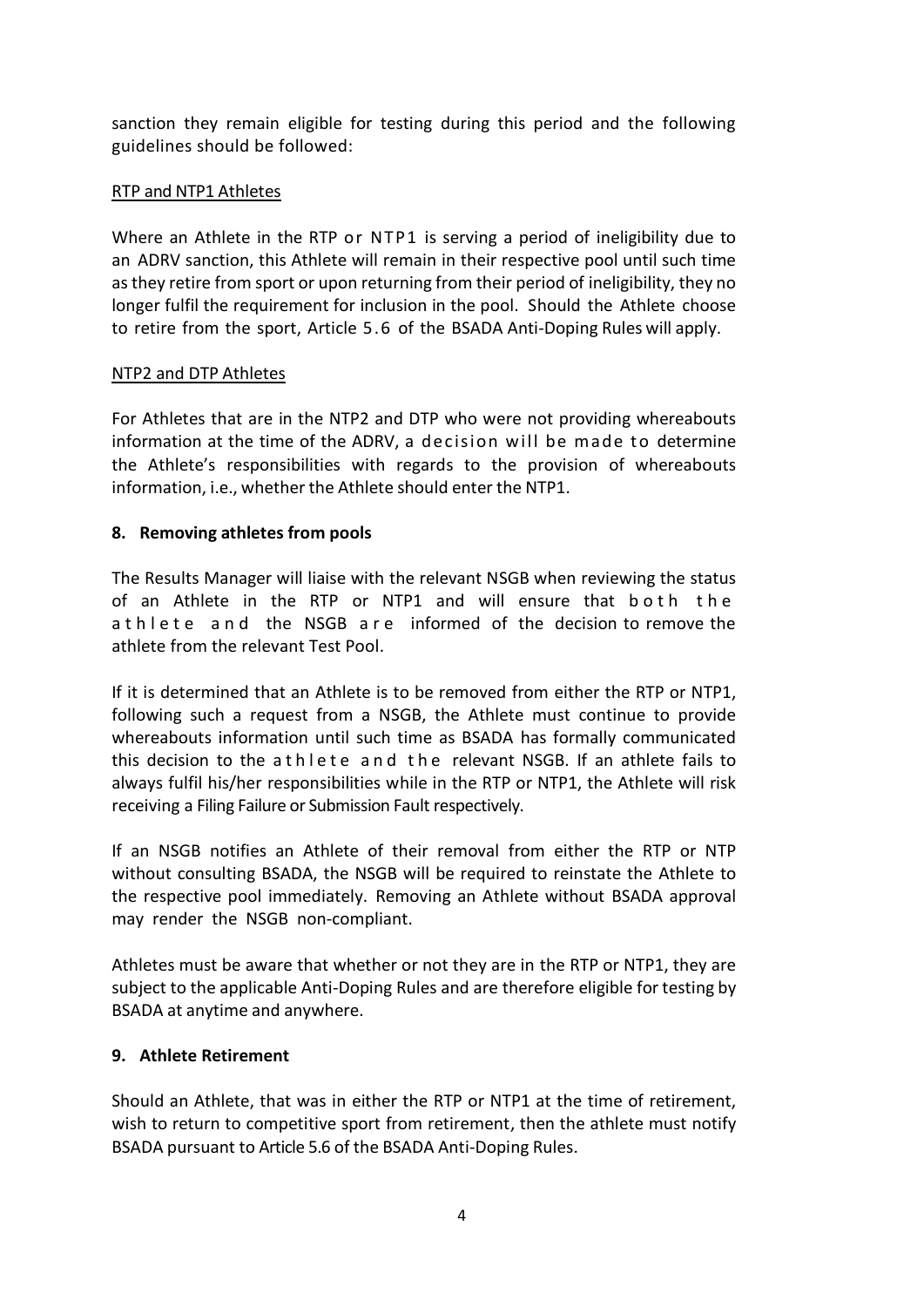sanction they remain eligible for testing during this period and the following guidelines should be followed:

## RTP and NTP1 Athletes

Where an Athlete in the RTP or NTP1 is serving a period of ineligibility due to an ADRV sanction, this Athlete will remain in their respective pool until such time as they retire from sport or upon returning from their period of ineligibility, they no longer fulfil the requirement for inclusion in the pool. Should the Athlete choose to retire from the sport, Article 5.6 of the BSADA Anti-Doping Rules will apply.

## NTP2 and DTP Athletes

For Athletes that are in the NTP2 and DTP who were not providing whereabouts information at the time of the ADRV, a decision will be made to determine the Athlete's responsibilities with regards to the provision of whereabouts information, i.e., whether the Athlete should enter the NTP1.

# **8. Removing athletes from pools**

The Results Manager will liaise with the relevant NSGB when reviewing the status of an Athlete in the RTP or NTP1 and will ensure that both the a t h l e t e a n d the NSGB are informed of the decision to remove the athlete from the relevant Test Pool.

If it is determined that an Athlete is to be removed from either the RTP or NTP1, following such a request from a NSGB, the Athlete must continue to provide whereabouts information until such time as BSADA has formally communicated this decision to the athlete and the relevant NSGB. If an athlete fails to always fulfil his/her responsibilities while in the RTP or NTP1, the Athlete will risk receiving a Filing Failure or Submission Fault respectively.

If an NSGB notifies an Athlete of their removal from either the RTP or NTP without consulting BSADA, the NSGB will be required to reinstate the Athlete to the respective pool immediately. Removing an Athlete without BSADA approval may render the NSGB non-compliant.

Athletes must be aware that whether or not they are in the RTP or NTP1, they are subject to the applicable Anti-Doping Rules and are therefore eligible for testing by BSADA at anytime and anywhere.

# **9. Athlete Retirement**

Should an Athlete, that was in either the RTP or NTP1 at the time of retirement, wish to return to competitive sport from retirement, then the athlete must notify BSADA pursuant to Article 5.6 of the BSADA Anti-Doping Rules.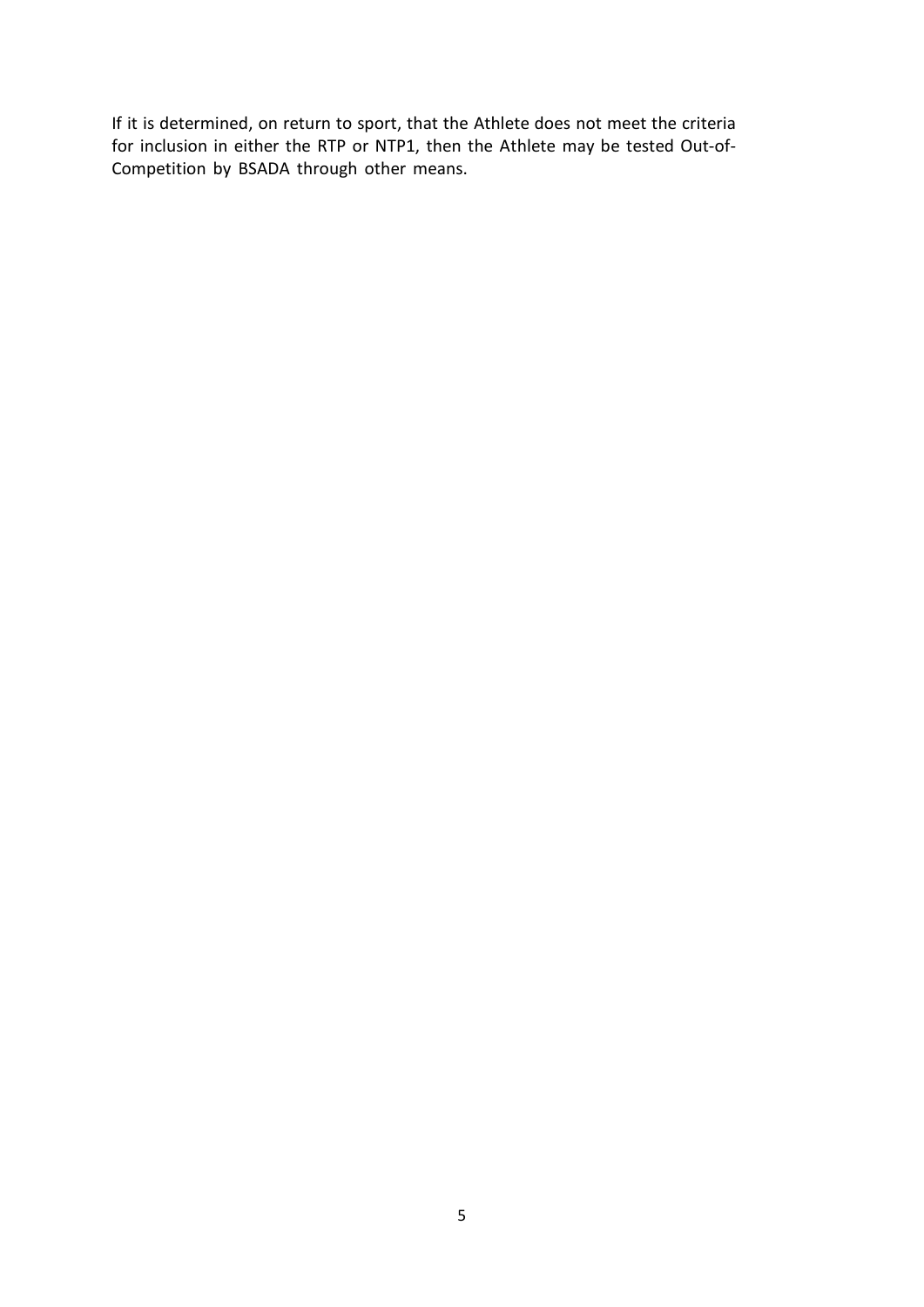If it is determined, on return to sport, that the Athlete does not meet the criteria for inclusion in either the RTP or NTP1, then the Athlete may be tested Out-of-Competition by BSADA through other means.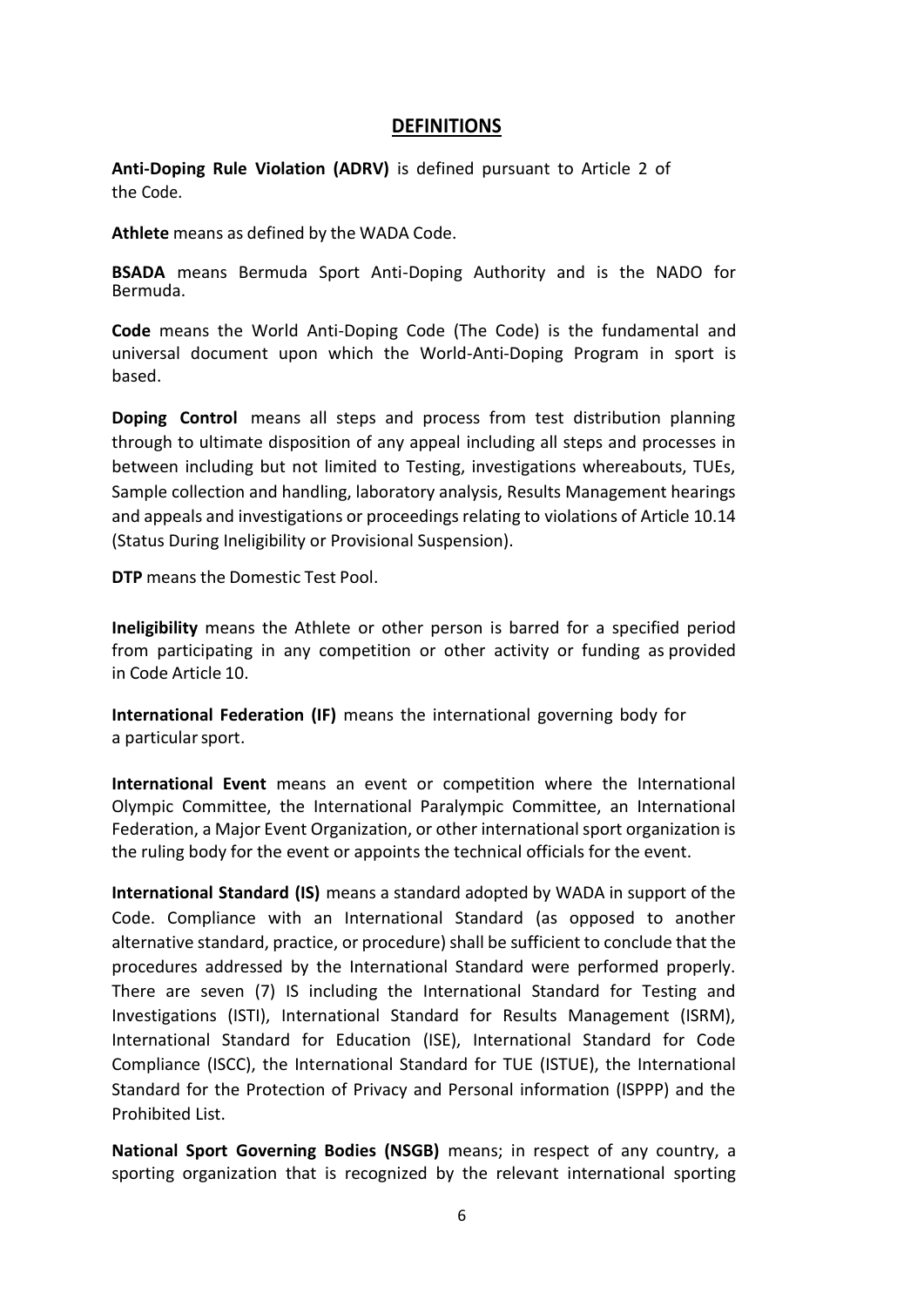## **DEFINITIONS**

**Anti-Doping Rule Violation (ADRV)** is defined pursuant to Article 2 of the Code.

**Athlete** means as defined by the WADA Code.

**BSADA** means Bermuda Sport Anti-Doping Authority and is the NADO for Bermuda.

**Code** means the World Anti-Doping Code (The Code) is the fundamental and universal document upon which the World-Anti-Doping Program in sport is based.

**Doping Control** means all steps and process from test distribution planning through to ultimate disposition of any appeal including all steps and processes in between including but not limited to Testing, investigations whereabouts, TUEs, Sample collection and handling, laboratory analysis, Results Management hearings and appeals and investigations or proceedings relating to violations of Article 10.14 (Status During Ineligibility or Provisional Suspension).

**DTP** means the Domestic Test Pool.

**Ineligibility** means the Athlete or other person is barred for a specified period from participating in any competition or other activity or funding as provided in Code Article 10.

**International Federation (IF)** means the international governing body for a particular sport.

**International Event** means an event or competition where the International Olympic Committee, the International Paralympic Committee, an International Federation, a Major Event Organization, or other international sport organization is the ruling body for the event or appoints the technical officials for the event.

**International Standard (IS)** means a standard adopted by WADA in support of the Code. Compliance with an International Standard (as opposed to another alternative standard, practice, or procedure) shall be sufficient to conclude that the procedures addressed by the International Standard were performed properly. There are seven (7) IS including the International Standard for Testing and Investigations (ISTI), International Standard for Results Management (ISRM), International Standard for Education (ISE), International Standard for Code Compliance (ISCC), the International Standard for TUE (ISTUE), the International Standard for the Protection of Privacy and Personal information (ISPPP) and the Prohibited List.

**National Sport Governing Bodies (NSGB)** means; in respect of any country, a sporting organization that is recognized by the relevant international sporting